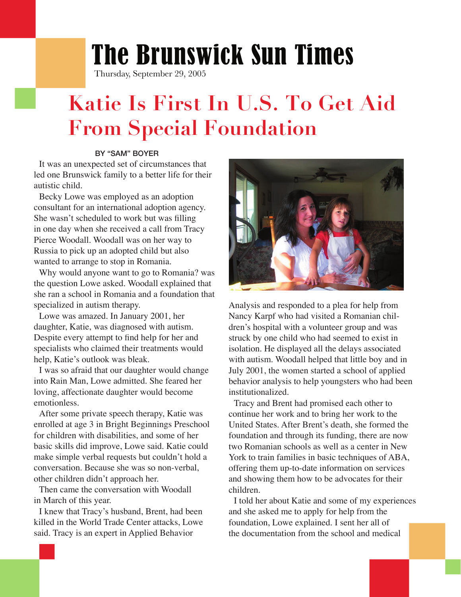## The Brunswick Sun Times

Thursday, September 29, 2005

## **Katie Is First In U.S. To Get Aid From Special Foundation**

## BY "SAM" BOYER

 It was an unexpected set of circumstances that led one Brunswick family to a better life for their autistic child.

 Becky Lowe was employed as an adoption consultant for an international adoption agency. She wasn't scheduled to work but was filling in one day when she received a call from Tracy Pierce Woodall. Woodall was on her way to Russia to pick up an adopted child but also wanted to arrange to stop in Romania.

 Why would anyone want to go to Romania? was the question Lowe asked. Woodall explained that she ran a school in Romania and a foundation that specialized in autism therapy.

 Lowe was amazed. In January 2001, her daughter, Katie, was diagnosed with autism. Despite every attempt to find help for her and specialists who claimed their treatments would help, Katie's outlook was bleak.

 I was so afraid that our daughter would change into Rain Man, Lowe admitted. She feared her loving, affectionate daughter would become emotionless.

 After some private speech therapy, Katie was enrolled at age 3 in Bright Beginnings Preschool for children with disabilities, and some of her basic skills did improve, Lowe said. Katie could make simple verbal requests but couldn't hold a conversation. Because she was so non-verbal, other children didn't approach her.

 Then came the conversation with Woodall in March of this year.

 I knew that Tracy's husband, Brent, had been killed in the World Trade Center attacks, Lowe said. Tracy is an expert in Applied Behavior



Analysis and responded to a plea for help from Nancy Karpf who had visited a Romanian children's hospital with a volunteer group and was struck by one child who had seemed to exist in isolation. He displayed all the delays associated with autism. Woodall helped that little boy and in July 2001, the women started a school of applied behavior analysis to help youngsters who had been institutionalized.

 Tracy and Brent had promised each other to continue her work and to bring her work to the United States. After Brent's death, she formed the foundation and through its funding, there are now two Romanian schools as well as a center in New York to train families in basic techniques of ABA, offering them up-to-date information on services and showing them how to be advocates for their children.

 I told her about Katie and some of my experiences and she asked me to apply for help from the foundation, Lowe explained. I sent her all of the documentation from the school and medical